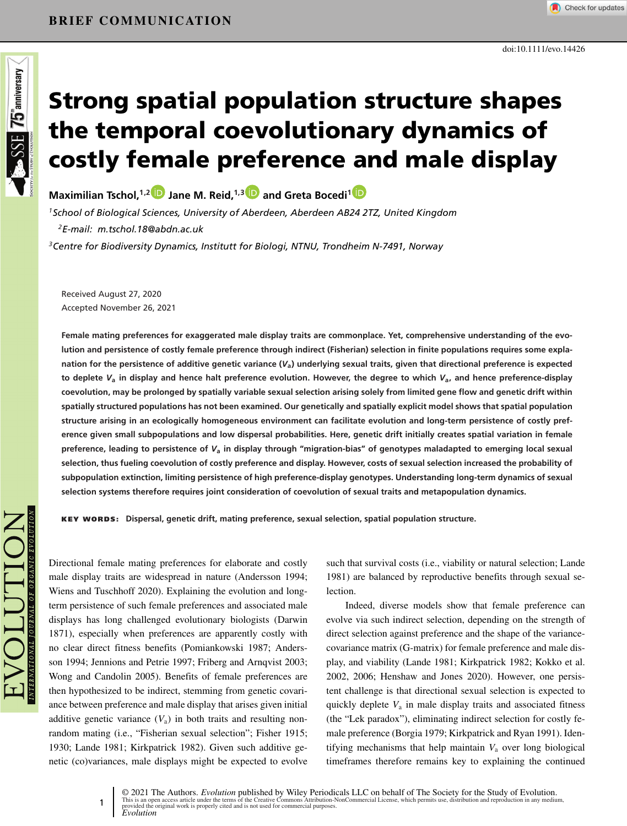# **Strong spatial population structure shapes the temporal coevolutionary dynamics of costly female preference and male display**

**Maximilian Tschol,1,[2](https://orcid.org/0000-0002-8161-4279) Jane M. Reid,1,[3](https://orcid.org/0000-0002-5007-7343) and Greta Bocedi[1](https://orcid.org/0000-0002-9131-6670)**

*1School of Biological Sciences, University of Aberdeen, Aberdeen AB24 2TZ, United Kingdom 2E-mail: m.tschol.18@abdn.ac.uk*

*3Centre for Biodiversity Dynamics, Institutt for Biologi, NTNU, Trondheim N-7491, Norway*

Received August 27, 2020 Accepted November 26, 2021

**Female mating preferences for exaggerated male display traits are commonplace. Yet, comprehensive understanding of the evolution and persistence of costly female preference through indirect (Fisherian) selection in finite populations requires some explanation for the persistence of additive genetic variance (***V***a) underlying sexual traits, given that directional preference is expected to deplete** *V***<sup>a</sup> in display and hence halt preference evolution. However, the degree to which** *V***a, and hence preference-display coevolution, may be prolonged by spatially variable sexual selection arising solely from limited gene flow and genetic drift within spatially structured populations has not been examined. Our genetically and spatially explicit model shows that spatial population structure arising in an ecologically homogeneous environment can facilitate evolution and long-term persistence of costly preference given small subpopulations and low dispersal probabilities. Here, genetic drift initially creates spatial variation in female preference, leading to persistence of** *V***<sup>a</sup> in display through "migration-bias" of genotypes maladapted to emerging local sexual selection, thus fueling coevolution of costly preference and display. However, costs of sexual selection increased the probability of subpopulation extinction, limiting persistence of high preference-display genotypes. Understanding long-term dynamics of sexual selection systems therefore requires joint consideration of coevolution of sexual traits and metapopulation dynamics.**

**KEY WORDS: Dispersal, genetic drift, mating preference, sexual selection, spatial population structure.**

**SSE 75 antiversary** 

Directional female mating preferences for elaborate and costly male display traits are widespread in nature (Andersson 1994; Wiens and Tuschhoff 2020). Explaining the evolution and longterm persistence of such female preferences and associated male displays has long challenged evolutionary biologists (Darwin 1871), especially when preferences are apparently costly with no clear direct fitness benefits (Pomiankowski 1987; Andersson 1994; Jennions and Petrie 1997; Friberg and Arnqvist 2003; Wong and Candolin 2005). Benefits of female preferences are then hypothesized to be indirect, stemming from genetic covariance between preference and male display that arises given initial additive genetic variance  $(V_a)$  in both traits and resulting nonrandom mating (i.e., "Fisherian sexual selection"; Fisher 1915; 1930; Lande 1981; Kirkpatrick 1982). Given such additive genetic (co)variances, male displays might be expected to evolve

1

such that survival costs (i.e., viability or natural selection; Lande 1981) are balanced by reproductive benefits through sexual selection.

Indeed, diverse models show that female preference can evolve via such indirect selection, depending on the strength of direct selection against preference and the shape of the variancecovariance matrix (G-matrix) for female preference and male display, and viability (Lande 1981; Kirkpatrick 1982; Kokko et al. 2002, 2006; Henshaw and Jones 2020). However, one persistent challenge is that directional sexual selection is expected to quickly deplete  $V_a$  in male display traits and associated fitness (the "Lek paradox"), eliminating indirect selection for costly female preference (Borgia 1979; Kirkpatrick and Ryan 1991). Identifying mechanisms that help maintain *V*<sup>a</sup> over long biological timeframes therefore remains key to explaining the continued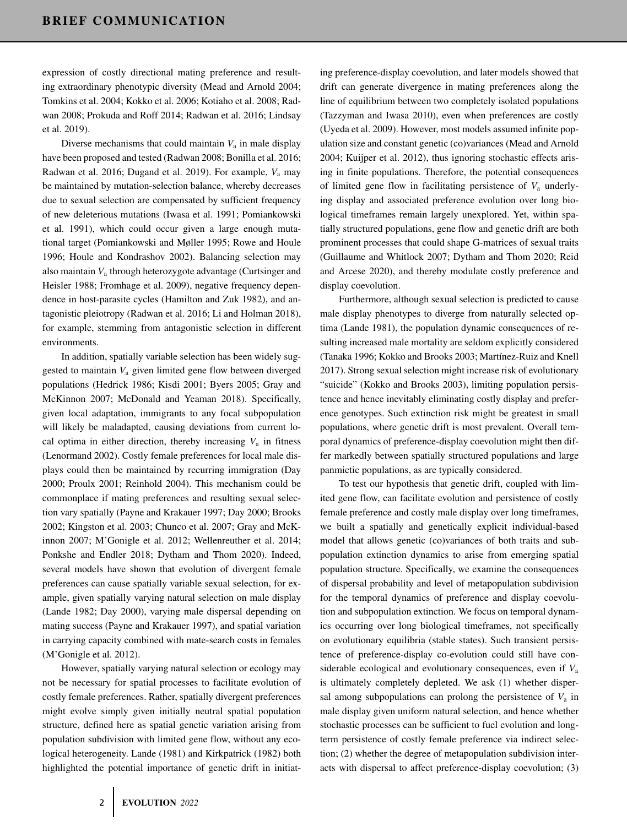expression of costly directional mating preference and resulting extraordinary phenotypic diversity (Mead and Arnold 2004; Tomkins et al. 2004; Kokko et al. 2006; Kotiaho et al. 2008; Radwan 2008; Prokuda and Roff 2014; Radwan et al. 2016; Lindsay et al. 2019).

Diverse mechanisms that could maintain  $V_a$  in male display have been proposed and tested (Radwan 2008; Bonilla et al. 2016; Radwan et al. 2016; Dugand et al. 2019). For example, *V*<sup>a</sup> may be maintained by mutation-selection balance, whereby decreases due to sexual selection are compensated by sufficient frequency of new deleterious mutations (Iwasa et al. 1991; Pomiankowski et al. 1991), which could occur given a large enough mutational target (Pomiankowski and Møller 1995; Rowe and Houle 1996; Houle and Kondrashov 2002). Balancing selection may also maintain *V*<sup>a</sup> through heterozygote advantage (Curtsinger and Heisler 1988; Fromhage et al. 2009), negative frequency dependence in host-parasite cycles (Hamilton and Zuk 1982), and antagonistic pleiotropy (Radwan et al. 2016; Li and Holman 2018), for example, stemming from antagonistic selection in different environments.

In addition, spatially variable selection has been widely suggested to maintain *V*<sup>a</sup> given limited gene flow between diverged populations (Hedrick 1986; Kisdi 2001; Byers 2005; Gray and McKinnon 2007; McDonald and Yeaman 2018). Specifically, given local adaptation, immigrants to any focal subpopulation will likely be maladapted, causing deviations from current local optima in either direction, thereby increasing  $V_a$  in fitness (Lenormand 2002). Costly female preferences for local male displays could then be maintained by recurring immigration (Day 2000; Proulx 2001; Reinhold 2004). This mechanism could be commonplace if mating preferences and resulting sexual selection vary spatially (Payne and Krakauer 1997; Day 2000; Brooks 2002; Kingston et al. 2003; Chunco et al. 2007; Gray and McKinnon 2007; M'Gonigle et al. 2012; Wellenreuther et al. 2014; Ponkshe and Endler 2018; Dytham and Thom 2020). Indeed, several models have shown that evolution of divergent female preferences can cause spatially variable sexual selection, for example, given spatially varying natural selection on male display (Lande 1982; Day 2000), varying male dispersal depending on mating success (Payne and Krakauer 1997), and spatial variation in carrying capacity combined with mate-search costs in females (M'Gonigle et al. 2012).

However, spatially varying natural selection or ecology may not be necessary for spatial processes to facilitate evolution of costly female preferences. Rather, spatially divergent preferences might evolve simply given initially neutral spatial population structure, defined here as spatial genetic variation arising from population subdivision with limited gene flow, without any ecological heterogeneity. Lande (1981) and Kirkpatrick (1982) both highlighted the potential importance of genetic drift in initiating preference-display coevolution, and later models showed that drift can generate divergence in mating preferences along the line of equilibrium between two completely isolated populations (Tazzyman and Iwasa 2010), even when preferences are costly (Uyeda et al. 2009). However, most models assumed infinite population size and constant genetic (co)variances (Mead and Arnold 2004; Kuijper et al. 2012), thus ignoring stochastic effects arising in finite populations. Therefore, the potential consequences of limited gene flow in facilitating persistence of *V*<sup>a</sup> underlying display and associated preference evolution over long biological timeframes remain largely unexplored. Yet, within spatially structured populations, gene flow and genetic drift are both prominent processes that could shape G-matrices of sexual traits (Guillaume and Whitlock 2007; Dytham and Thom 2020; Reid and Arcese 2020), and thereby modulate costly preference and display coevolution.

Furthermore, although sexual selection is predicted to cause male display phenotypes to diverge from naturally selected optima (Lande 1981), the population dynamic consequences of resulting increased male mortality are seldom explicitly considered (Tanaka 1996; Kokko and Brooks 2003; Martínez-Ruiz and Knell 2017). Strong sexual selection might increase risk of evolutionary "suicide" (Kokko and Brooks 2003), limiting population persistence and hence inevitably eliminating costly display and preference genotypes. Such extinction risk might be greatest in small populations, where genetic drift is most prevalent. Overall temporal dynamics of preference-display coevolution might then differ markedly between spatially structured populations and large panmictic populations, as are typically considered.

To test our hypothesis that genetic drift, coupled with limited gene flow, can facilitate evolution and persistence of costly female preference and costly male display over long timeframes, we built a spatially and genetically explicit individual-based model that allows genetic (co)variances of both traits and subpopulation extinction dynamics to arise from emerging spatial population structure. Specifically, we examine the consequences of dispersal probability and level of metapopulation subdivision for the temporal dynamics of preference and display coevolution and subpopulation extinction. We focus on temporal dynamics occurring over long biological timeframes, not specifically on evolutionary equilibria (stable states). Such transient persistence of preference-display co-evolution could still have considerable ecological and evolutionary consequences, even if *V*<sup>a</sup> is ultimately completely depleted. We ask (1) whether dispersal among subpopulations can prolong the persistence of  $V_a$  in male display given uniform natural selection, and hence whether stochastic processes can be sufficient to fuel evolution and longterm persistence of costly female preference via indirect selection; (2) whether the degree of metapopulation subdivision interacts with dispersal to affect preference-display coevolution; (3)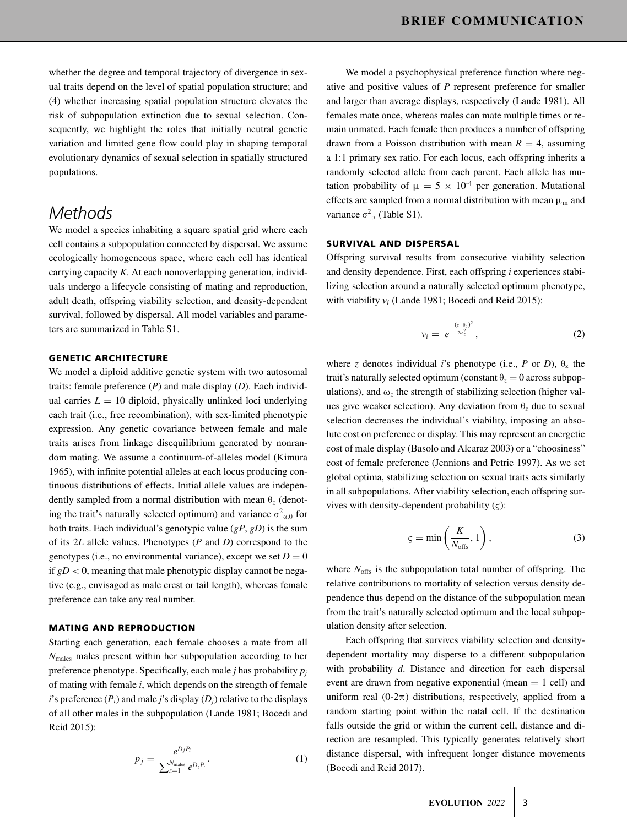whether the degree and temporal trajectory of divergence in sexual traits depend on the level of spatial population structure; and (4) whether increasing spatial population structure elevates the risk of subpopulation extinction due to sexual selection. Consequently, we highlight the roles that initially neutral genetic variation and limited gene flow could play in shaping temporal evolutionary dynamics of sexual selection in spatially structured populations.

# *Methods*

We model a species inhabiting a square spatial grid where each cell contains a subpopulation connected by dispersal. We assume ecologically homogeneous space, where each cell has identical carrying capacity *K*. At each nonoverlapping generation, individuals undergo a lifecycle consisting of mating and reproduction, adult death, offspring viability selection, and density-dependent survival, followed by dispersal. All model variables and parameters are summarized in Table S1.

#### **GENETIC ARCHITECTURE**

We model a diploid additive genetic system with two autosomal traits: female preference (*P*) and male display (*D*). Each individual carries  $L = 10$  diploid, physically unlinked loci underlying each trait (i.e., free recombination), with sex-limited phenotypic expression. Any genetic covariance between female and male traits arises from linkage disequilibrium generated by nonrandom mating. We assume a continuum-of-alleles model (Kimura 1965), with infinite potential alleles at each locus producing continuous distributions of effects. Initial allele values are independently sampled from a normal distribution with mean θ*<sup>z</sup>* (denoting the trait's naturally selected optimum) and variance  $\sigma^2_{\alpha,0}$  for both traits. Each individual's genotypic value (*gP*, *gD*) is the sum of its 2*L* allele values. Phenotypes (*P* and *D*) correspond to the genotypes (i.e., no environmental variance), except we set  $D = 0$ if  $gD < 0$ , meaning that male phenotypic display cannot be negative (e.g., envisaged as male crest or tail length), whereas female preference can take any real number.

### **MATING AND REPRODUCTION**

Starting each generation, each female chooses a mate from all *N*males males present within her subpopulation according to her preference phenotype. Specifically, each male *j* has probability *pj* of mating with female *i*, which depends on the strength of female *i*'s preference  $(P_i)$  and male *j*'s display  $(D_j)$  relative to the displays of all other males in the subpopulation (Lande 1981; Bocedi and Reid 2015):

$$
p_j = \frac{e^{D_j P_i}}{\sum_{z=1}^{N_{\text{males}}} e^{D_z P_i}}.
$$
 (1)

We model a psychophysical preference function where negative and positive values of *P* represent preference for smaller and larger than average displays, respectively (Lande 1981). All females mate once, whereas males can mate multiple times or remain unmated. Each female then produces a number of offspring drawn from a Poisson distribution with mean  $R = 4$ , assuming a 1:1 primary sex ratio. For each locus, each offspring inherits a randomly selected allele from each parent. Each allele has mutation probability of  $\mu = 5 \times 10^{-4}$  per generation. Mutational effects are sampled from a normal distribution with mean  $\mu_m$  and variance  $\sigma^2$ <sub>α</sub> (Table S1).

## **SURVIVAL AND DISPERSAL**

Offspring survival results from consecutive viability selection and density dependence. First, each offspring *i* experiences stabilizing selection around a naturally selected optimum phenotype, with viability *vi* (Lande 1981; Bocedi and Reid 2015):

$$
v_i = e^{\frac{-(z-\theta_z)^2}{2\omega_z^2}}, \tag{2}
$$

where *z* denotes individual *i*'s phenotype (i.e., *P* or *D*),  $\theta$ <sub>z</sub> the trait's naturally selected optimum (constant  $\theta$ <sub>z</sub> = 0 across subpopulations), and  $\omega$ <sub>z</sub> the strength of stabilizing selection (higher values give weaker selection). Any deviation from θ*<sup>z</sup>* due to sexual selection decreases the individual's viability, imposing an absolute cost on preference or display. This may represent an energetic cost of male display (Basolo and Alcaraz 2003) or a "choosiness" cost of female preference (Jennions and Petrie 1997). As we set global optima, stabilizing selection on sexual traits acts similarly in all subpopulations. After viability selection, each offspring survives with density-dependent probability  $(\varsigma)$ :

$$
\varsigma = \min\left(\frac{K}{N_{\text{offs}}}, 1\right),\tag{3}
$$

where  $N_{\text{offs}}$  is the subpopulation total number of offspring. The relative contributions to mortality of selection versus density dependence thus depend on the distance of the subpopulation mean from the trait's naturally selected optimum and the local subpopulation density after selection.

Each offspring that survives viability selection and densitydependent mortality may disperse to a different subpopulation with probability *d*. Distance and direction for each dispersal event are drawn from negative exponential (mean  $= 1$  cell) and uniform real  $(0-2\pi)$  distributions, respectively, applied from a random starting point within the natal cell. If the destination falls outside the grid or within the current cell, distance and direction are resampled. This typically generates relatively short distance dispersal, with infrequent longer distance movements (Bocedi and Reid 2017).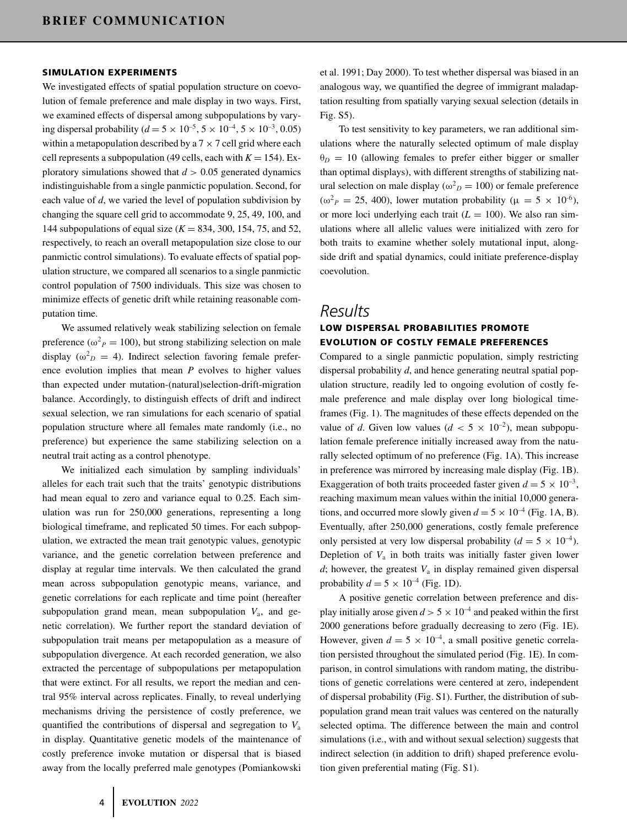#### **SIMULATION EXPERIMENTS**

We investigated effects of spatial population structure on coevolution of female preference and male display in two ways. First, we examined effects of dispersal among subpopulations by varying dispersal probability ( $d = 5 \times 10^{-5}$ ,  $5 \times 10^{-4}$ ,  $5 \times 10^{-3}$ , 0.05) within a metapopulation described by a  $7 \times 7$  cell grid where each cell represents a subpopulation (49 cells, each with  $K = 154$ ). Exploratory simulations showed that  $d > 0.05$  generated dynamics indistinguishable from a single panmictic population. Second, for each value of *d*, we varied the level of population subdivision by changing the square cell grid to accommodate 9, 25, 49, 100, and 144 subpopulations of equal size (*K* = 834, 300, 154, 75, and 52, respectively, to reach an overall metapopulation size close to our panmictic control simulations). To evaluate effects of spatial population structure, we compared all scenarios to a single panmictic control population of 7500 individuals. This size was chosen to minimize effects of genetic drift while retaining reasonable computation time.

We assumed relatively weak stabilizing selection on female preference ( $\omega_p^2 = 100$ ), but strong stabilizing selection on male display ( $\omega_D^2 = 4$ ). Indirect selection favoring female preference evolution implies that mean *P* evolves to higher values than expected under mutation-(natural)selection-drift-migration balance. Accordingly, to distinguish effects of drift and indirect sexual selection, we ran simulations for each scenario of spatial population structure where all females mate randomly (i.e., no preference) but experience the same stabilizing selection on a neutral trait acting as a control phenotype.

We initialized each simulation by sampling individuals' alleles for each trait such that the traits' genotypic distributions had mean equal to zero and variance equal to 0.25. Each simulation was run for 250,000 generations, representing a long biological timeframe, and replicated 50 times. For each subpopulation, we extracted the mean trait genotypic values, genotypic variance, and the genetic correlation between preference and display at regular time intervals. We then calculated the grand mean across subpopulation genotypic means, variance, and genetic correlations for each replicate and time point (hereafter subpopulation grand mean, mean subpopulation *V*a, and genetic correlation). We further report the standard deviation of subpopulation trait means per metapopulation as a measure of subpopulation divergence. At each recorded generation, we also extracted the percentage of subpopulations per metapopulation that were extinct. For all results, we report the median and central 95% interval across replicates. Finally, to reveal underlying mechanisms driving the persistence of costly preference, we quantified the contributions of dispersal and segregation to *V*<sup>a</sup> in display. Quantitative genetic models of the maintenance of costly preference invoke mutation or dispersal that is biased away from the locally preferred male genotypes (Pomiankowski et al. 1991; Day 2000). To test whether dispersal was biased in an analogous way, we quantified the degree of immigrant maladaptation resulting from spatially varying sexual selection (details in Fig. S5).

To test sensitivity to key parameters, we ran additional simulations where the naturally selected optimum of male display  $\theta_D = 10$  (allowing females to prefer either bigger or smaller than optimal displays), with different strengths of stabilizing natural selection on male display ( $\omega_D^2 = 100$ ) or female preference ( $\omega^2$ *P* = 25, 400), lower mutation probability ( $\mu = 5 \times 10^{-6}$ ), or more loci underlying each trait  $(L = 100)$ . We also ran simulations where all allelic values were initialized with zero for both traits to examine whether solely mutational input, alongside drift and spatial dynamics, could initiate preference-display coevolution.

# *Results*

# **LOW DISPERSAL PROBABILITIES PROMOTE EVOLUTION OF COSTLY FEMALE PREFERENCES**

Compared to a single panmictic population, simply restricting dispersal probability *d*, and hence generating neutral spatial population structure, readily led to ongoing evolution of costly female preference and male display over long biological timeframes (Fig. 1). The magnitudes of these effects depended on the value of *d*. Given low values ( $d < 5 \times 10^{-2}$ ), mean subpopulation female preference initially increased away from the naturally selected optimum of no preference (Fig. 1A). This increase in preference was mirrored by increasing male display (Fig. 1B). Exaggeration of both traits proceeded faster given  $d = 5 \times 10^{-3}$ , reaching maximum mean values within the initial 10,000 generations, and occurred more slowly given  $d = 5 \times 10^{-4}$  (Fig. 1A, B). Eventually, after 250,000 generations, costly female preference only persisted at very low dispersal probability ( $d = 5 \times 10^{-4}$ ). Depletion of  $V_a$  in both traits was initially faster given lower  $d$ ; however, the greatest  $V_a$  in display remained given dispersal probability  $d = 5 \times 10^{-4}$  (Fig. 1D).

A positive genetic correlation between preference and display initially arose given  $d > 5 \times 10^{-4}$  and peaked within the first 2000 generations before gradually decreasing to zero (Fig. 1E). However, given  $d = 5 \times 10^{-4}$ , a small positive genetic correlation persisted throughout the simulated period (Fig. 1E). In comparison, in control simulations with random mating, the distributions of genetic correlations were centered at zero, independent of dispersal probability (Fig. S1). Further, the distribution of subpopulation grand mean trait values was centered on the naturally selected optima. The difference between the main and control simulations (i.e., with and without sexual selection) suggests that indirect selection (in addition to drift) shaped preference evolution given preferential mating (Fig. S1).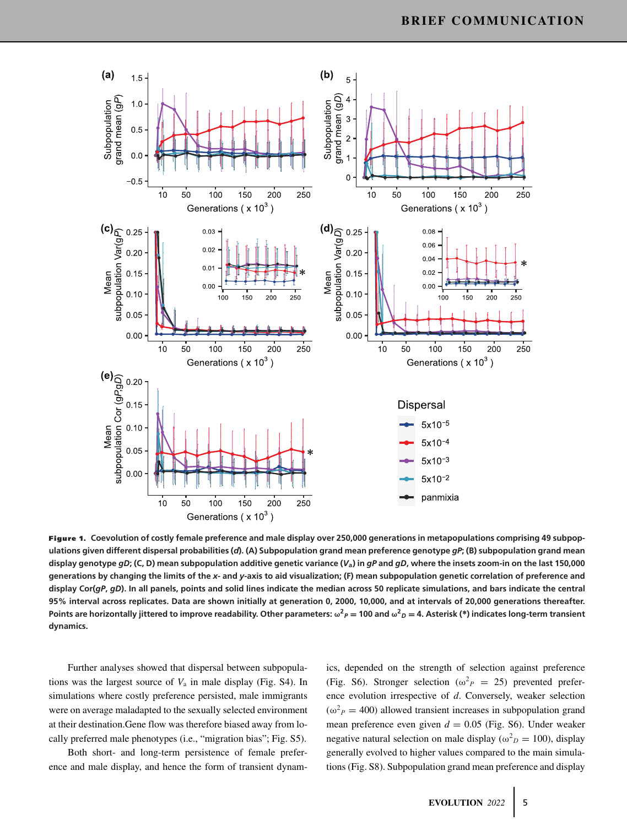

**Figure 1. Coevolution of costly female preference and male display over 250,000 generations in metapopulations comprising 49 subpopulations given different dispersal probabilities (***d***). (A) Subpopulation grand mean preference genotype** *gP***; (B) subpopulation grand mean display genotype** *gD***; (C, D) mean subpopulation additive genetic variance (***V***a) in** *gP* **and** *gD***, where the insets zoom-in on the last 150,000 generations by changing the limits of the** *x***- and** *y***-axis to aid visualization; (F) mean subpopulation genetic correlation of preference and display Cor(***gP***,** *gD***). In all panels, points and solid lines indicate the median across 50 replicate simulations, and bars indicate the central 95% interval across replicates. Data are shown initially at generation 0, 2000, 10,000, and at intervals of 20,000 generations thereafter.** Points are horizontally jittered to improve readability. Other parameters:  $\omega^2{}_{P}=$  100 and  $\omega^2{}_{D}=$  4. Asterisk (\*) indicates long-term transient **dynamics.**

Further analyses showed that dispersal between subpopulations was the largest source of  $V_a$  in male display (Fig. S4). In simulations where costly preference persisted, male immigrants were on average maladapted to the sexually selected environment at their destination.Gene flow was therefore biased away from locally preferred male phenotypes (i.e., "migration bias"; Fig. S5).

Both short- and long-term persistence of female preference and male display, and hence the form of transient dynamics, depended on the strength of selection against preference (Fig. S6). Stronger selection ( $\omega_p^2 = 25$ ) prevented preference evolution irrespective of *d*. Conversely, weaker selection  $(\omega^2 P = 400)$  allowed transient increases in subpopulation grand mean preference even given  $d = 0.05$  (Fig. S6). Under weaker negative natural selection on male display ( $\omega_D^2 = 100$ ), display generally evolved to higher values compared to the main simulations (Fig. S8). Subpopulation grand mean preference and display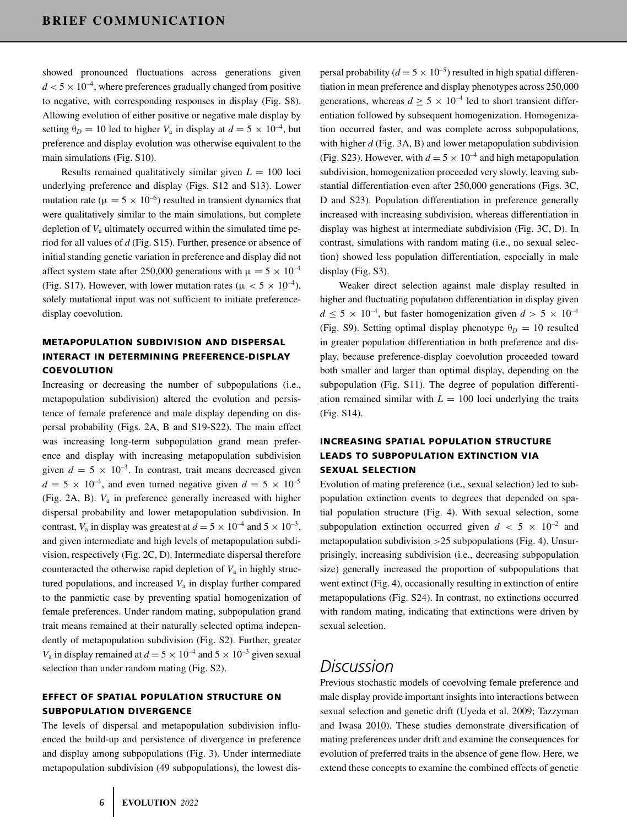showed pronounced fluctuations across generations given  $d < 5 \times 10^{-4}$ , where preferences gradually changed from positive to negative, with corresponding responses in display (Fig. S8). Allowing evolution of either positive or negative male display by setting  $\theta_D = 10$  led to higher  $V_a$  in display at  $d = 5 \times 10^{-4}$ , but preference and display evolution was otherwise equivalent to the main simulations (Fig. S10).

Results remained qualitatively similar given  $L = 100$  loci underlying preference and display (Figs. S12 and S13). Lower mutation rate ( $\mu = 5 \times 10^{-6}$ ) resulted in transient dynamics that were qualitatively similar to the main simulations, but complete depletion of  $V_a$  ultimately occurred within the simulated time period for all values of *d* (Fig. S15). Further, presence or absence of initial standing genetic variation in preference and display did not affect system state after 250,000 generations with  $\mu = 5 \times 10^{-4}$ (Fig. S17). However, with lower mutation rates ( $\mu < 5 \times 10^{-4}$ ), solely mutational input was not sufficient to initiate preferencedisplay coevolution.

# **METAPOPULATION SUBDIVISION AND DISPERSAL INTERACT IN DETERMINING PREFERENCE-DISPLAY COEVOLUTION**

Increasing or decreasing the number of subpopulations (i.e., metapopulation subdivision) altered the evolution and persistence of female preference and male display depending on dispersal probability (Figs. 2A, B and S19-S22). The main effect was increasing long-term subpopulation grand mean preference and display with increasing metapopulation subdivision given  $d = 5 \times 10^{-3}$ . In contrast, trait means decreased given  $d = 5 \times 10^{-4}$ , and even turned negative given  $d = 5 \times 10^{-5}$ (Fig. 2A, B).  $V_a$  in preference generally increased with higher dispersal probability and lower metapopulation subdivision. In contrast,  $V_a$  in display was greatest at  $d = 5 \times 10^{-4}$  and  $5 \times 10^{-3}$ , and given intermediate and high levels of metapopulation subdivision, respectively (Fig. 2C, D). Intermediate dispersal therefore counteracted the otherwise rapid depletion of  $V_a$  in highly structured populations, and increased  $V_a$  in display further compared to the panmictic case by preventing spatial homogenization of female preferences. Under random mating, subpopulation grand trait means remained at their naturally selected optima independently of metapopulation subdivision (Fig. S2). Further, greater  $V_a$  in display remained at  $d = 5 \times 10^{-4}$  and  $5 \times 10^{-3}$  given sexual selection than under random mating (Fig. S2).

## **EFFECT OF SPATIAL POPULATION STRUCTURE ON SUBPOPULATION DIVERGENCE**

The levels of dispersal and metapopulation subdivision influenced the build-up and persistence of divergence in preference and display among subpopulations (Fig. 3). Under intermediate metapopulation subdivision (49 subpopulations), the lowest dispersal probability ( $d = 5 \times 10^{-5}$ ) resulted in high spatial differentiation in mean preference and display phenotypes across 250,000 generations, whereas  $d \geq 5 \times 10^{-4}$  led to short transient differentiation followed by subsequent homogenization. Homogenization occurred faster, and was complete across subpopulations, with higher *d* (Fig. 3A, B) and lower metapopulation subdivision (Fig. S23). However, with  $d = 5 \times 10^{-4}$  and high metapopulation subdivision, homogenization proceeded very slowly, leaving substantial differentiation even after 250,000 generations (Figs. 3C, D and S23). Population differentiation in preference generally increased with increasing subdivision, whereas differentiation in display was highest at intermediate subdivision (Fig. 3C, D). In contrast, simulations with random mating (i.e., no sexual selection) showed less population differentiation, especially in male display (Fig. S3).

Weaker direct selection against male display resulted in higher and fluctuating population differentiation in display given  $d \leq 5 \times 10^{-4}$ , but faster homogenization given  $d > 5 \times 10^{-4}$ (Fig. S9). Setting optimal display phenotype  $\theta_D = 10$  resulted in greater population differentiation in both preference and display, because preference-display coevolution proceeded toward both smaller and larger than optimal display, depending on the subpopulation (Fig. S11). The degree of population differentiation remained similar with  $L = 100$  loci underlying the traits (Fig. S14).

# **INCREASING SPATIAL POPULATION STRUCTURE LEADS TO SUBPOPULATION EXTINCTION VIA SEXUAL SELECTION**

Evolution of mating preference (i.e., sexual selection) led to subpopulation extinction events to degrees that depended on spatial population structure (Fig. 4). With sexual selection, some subpopulation extinction occurred given  $d < 5 \times 10^{-2}$  and metapopulation subdivision  $>25$  subpopulations (Fig. 4). Unsurprisingly, increasing subdivision (i.e., decreasing subpopulation size) generally increased the proportion of subpopulations that went extinct (Fig. 4), occasionally resulting in extinction of entire metapopulations (Fig. S24). In contrast, no extinctions occurred with random mating, indicating that extinctions were driven by sexual selection.

# *Discussion*

Previous stochastic models of coevolving female preference and male display provide important insights into interactions between sexual selection and genetic drift (Uyeda et al. 2009; Tazzyman and Iwasa 2010). These studies demonstrate diversification of mating preferences under drift and examine the consequences for evolution of preferred traits in the absence of gene flow. Here, we extend these concepts to examine the combined effects of genetic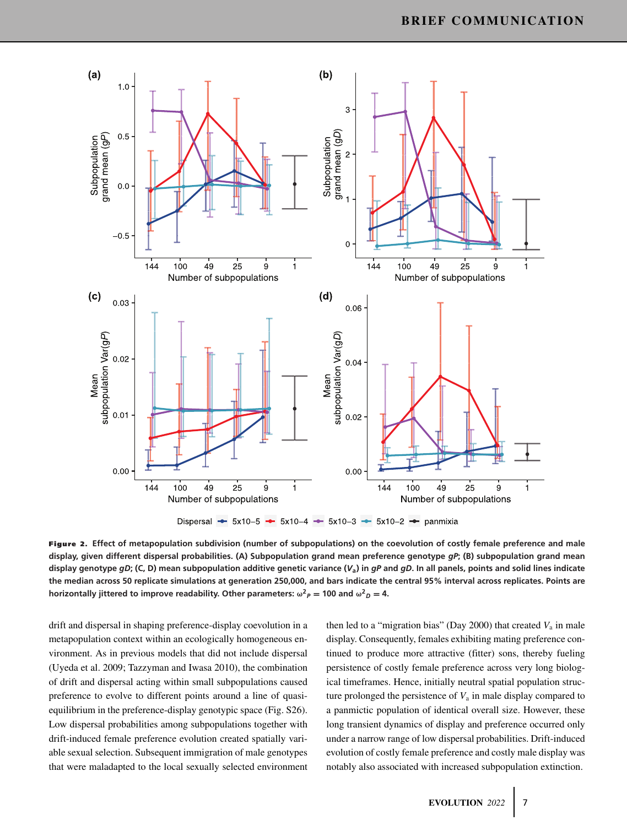

**Figure 2. Effect of metapopulation subdivision (number of subpopulations) on the coevolution of costly female preference and male display, given different dispersal probabilities. (A) Subpopulation grand mean preference genotype** *gP***; (B) subpopulation grand mean display genotype** *gD***; (C, D) mean subpopulation additive genetic variance (***V***a) in** *gP* **and** *gD***. In all panels, points and solid lines indicate the median across 50 replicate simulations at generation 250,000, and bars indicate the central 95% interval across replicates. Points are horizontally jittered to improve readability. Other parameters:**  $\omega^2 P = 100$  **and**  $\omega^2 D = 4$ **.** 

drift and dispersal in shaping preference-display coevolution in a metapopulation context within an ecologically homogeneous environment. As in previous models that did not include dispersal (Uyeda et al. 2009; Tazzyman and Iwasa 2010), the combination of drift and dispersal acting within small subpopulations caused preference to evolve to different points around a line of quasiequilibrium in the preference-display genotypic space (Fig. S26). Low dispersal probabilities among subpopulations together with drift-induced female preference evolution created spatially variable sexual selection. Subsequent immigration of male genotypes that were maladapted to the local sexually selected environment then led to a "migration bias" (Day 2000) that created  $V_a$  in male display. Consequently, females exhibiting mating preference continued to produce more attractive (fitter) sons, thereby fueling persistence of costly female preference across very long biological timeframes. Hence, initially neutral spatial population structure prolonged the persistence of  $V_a$  in male display compared to a panmictic population of identical overall size. However, these long transient dynamics of display and preference occurred only under a narrow range of low dispersal probabilities. Drift-induced evolution of costly female preference and costly male display was notably also associated with increased subpopulation extinction.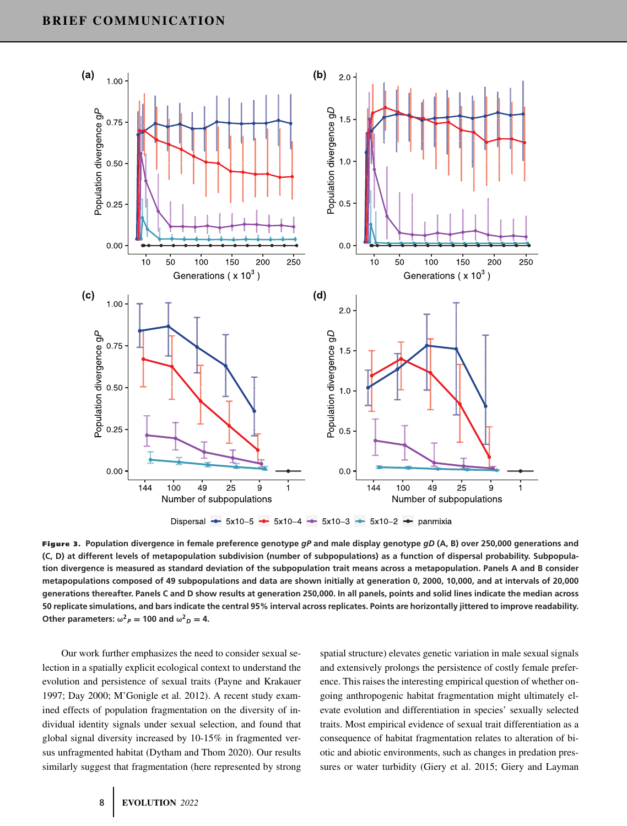

**Figure 3. Population divergence in female preference genotype** *gP* **and male display genotype** *gD* **(A, B) over 250,000 generations and (C, D) at different levels of metapopulation subdivision (number of subpopulations) as a function of dispersal probability. Subpopulation divergence is measured as standard deviation of the subpopulation trait means across a metapopulation. Panels A and B consider metapopulations composed of 49 subpopulations and data are shown initially at generation 0, 2000, 10,000, and at intervals of 20,000 generations thereafter. Panels C and D show results at generation 250,000. In all panels, points and solid lines indicate the median across 50 replicate simulations, and bars indicate the central 95% interval across replicates. Points are horizontally jittered to improve readability.** Other parameters:  $\omega^2 P = 100$  and  $\omega^2 D = 4$ .

Our work further emphasizes the need to consider sexual selection in a spatially explicit ecological context to understand the evolution and persistence of sexual traits (Payne and Krakauer 1997; Day 2000; M'Gonigle et al. 2012). A recent study examined effects of population fragmentation on the diversity of individual identity signals under sexual selection, and found that global signal diversity increased by 10-15% in fragmented versus unfragmented habitat (Dytham and Thom 2020). Our results similarly suggest that fragmentation (here represented by strong

spatial structure) elevates genetic variation in male sexual signals and extensively prolongs the persistence of costly female preference. This raises the interesting empirical question of whether ongoing anthropogenic habitat fragmentation might ultimately elevate evolution and differentiation in species' sexually selected traits. Most empirical evidence of sexual trait differentiation as a consequence of habitat fragmentation relates to alteration of biotic and abiotic environments, such as changes in predation pressures or water turbidity (Giery et al. 2015; Giery and Layman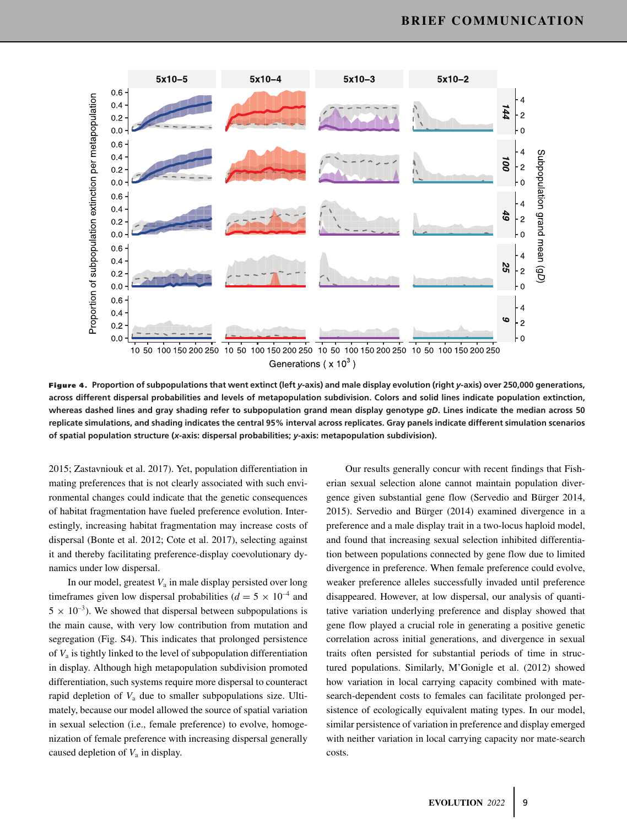

**Figure 4. Proportion of subpopulations that went extinct (left** *<sup>y</sup>***-axis) and male display evolution (right** *<sup>y</sup>***-axis) over 250,000 generations, across different dispersal probabilities and levels of metapopulation subdivision. Colors and solid lines indicate population extinction, whereas dashed lines and gray shading refer to subpopulation grand mean display genotype** *gD***. Lines indicate the median across 50 replicate simulations, and shading indicates the central 95% interval across replicates. Gray panels indicate different simulation scenarios of spatial population structure (***x***-axis: dispersal probabilities;** *y***-axis: metapopulation subdivision).**

2015; Zastavniouk et al. 2017). Yet, population differentiation in mating preferences that is not clearly associated with such environmental changes could indicate that the genetic consequences of habitat fragmentation have fueled preference evolution. Interestingly, increasing habitat fragmentation may increase costs of dispersal (Bonte et al. 2012; Cote et al. 2017), selecting against it and thereby facilitating preference-display coevolutionary dynamics under low dispersal.

In our model, greatest  $V_a$  in male display persisted over long timeframes given low dispersal probabilities ( $d = 5 \times 10^{-4}$  and  $5 \times 10^{-3}$ ). We showed that dispersal between subpopulations is the main cause, with very low contribution from mutation and segregation (Fig. S4). This indicates that prolonged persistence of  $V_a$  is tightly linked to the level of subpopulation differentiation in display. Although high metapopulation subdivision promoted differentiation, such systems require more dispersal to counteract rapid depletion of *V*<sup>a</sup> due to smaller subpopulations size. Ultimately, because our model allowed the source of spatial variation in sexual selection (i.e., female preference) to evolve, homogenization of female preference with increasing dispersal generally caused depletion of *V*<sup>a</sup> in display.

Our results generally concur with recent findings that Fisherian sexual selection alone cannot maintain population divergence given substantial gene flow (Servedio and Bürger 2014, 2015). Servedio and Bürger (2014) examined divergence in a preference and a male display trait in a two-locus haploid model, and found that increasing sexual selection inhibited differentiation between populations connected by gene flow due to limited divergence in preference. When female preference could evolve, weaker preference alleles successfully invaded until preference disappeared. However, at low dispersal, our analysis of quantitative variation underlying preference and display showed that gene flow played a crucial role in generating a positive genetic correlation across initial generations, and divergence in sexual traits often persisted for substantial periods of time in structured populations. Similarly, M'Gonigle et al. (2012) showed how variation in local carrying capacity combined with matesearch-dependent costs to females can facilitate prolonged persistence of ecologically equivalent mating types. In our model, similar persistence of variation in preference and display emerged with neither variation in local carrying capacity nor mate-search costs.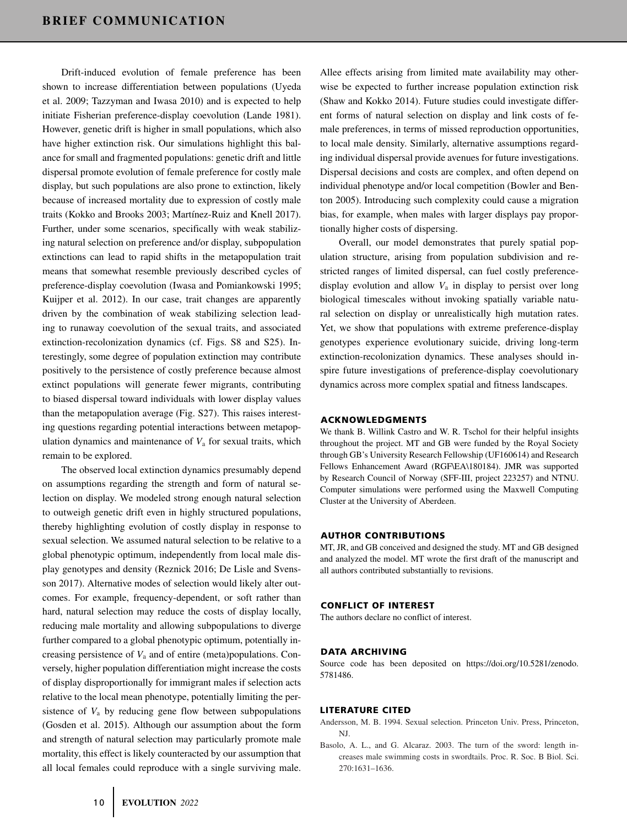Drift-induced evolution of female preference has been shown to increase differentiation between populations (Uyeda et al. 2009; Tazzyman and Iwasa 2010) and is expected to help initiate Fisherian preference-display coevolution (Lande 1981). However, genetic drift is higher in small populations, which also have higher extinction risk. Our simulations highlight this balance for small and fragmented populations: genetic drift and little dispersal promote evolution of female preference for costly male display, but such populations are also prone to extinction, likely because of increased mortality due to expression of costly male traits (Kokko and Brooks 2003; Martínez-Ruiz and Knell 2017). Further, under some scenarios, specifically with weak stabilizing natural selection on preference and/or display, subpopulation extinctions can lead to rapid shifts in the metapopulation trait means that somewhat resemble previously described cycles of preference-display coevolution (Iwasa and Pomiankowski 1995; Kuijper et al. 2012). In our case, trait changes are apparently driven by the combination of weak stabilizing selection leading to runaway coevolution of the sexual traits, and associated extinction-recolonization dynamics (cf. Figs. S8 and S25). Interestingly, some degree of population extinction may contribute positively to the persistence of costly preference because almost extinct populations will generate fewer migrants, contributing to biased dispersal toward individuals with lower display values than the metapopulation average (Fig. S27). This raises interesting questions regarding potential interactions between metapopulation dynamics and maintenance of  $V_a$  for sexual traits, which remain to be explored.

The observed local extinction dynamics presumably depend on assumptions regarding the strength and form of natural selection on display. We modeled strong enough natural selection to outweigh genetic drift even in highly structured populations, thereby highlighting evolution of costly display in response to sexual selection. We assumed natural selection to be relative to a global phenotypic optimum, independently from local male display genotypes and density (Reznick 2016; De Lisle and Svensson 2017). Alternative modes of selection would likely alter outcomes. For example, frequency-dependent, or soft rather than hard, natural selection may reduce the costs of display locally, reducing male mortality and allowing subpopulations to diverge further compared to a global phenotypic optimum, potentially increasing persistence of  $V_a$  and of entire (meta)populations. Conversely, higher population differentiation might increase the costs of display disproportionally for immigrant males if selection acts relative to the local mean phenotype, potentially limiting the persistence of  $V_a$  by reducing gene flow between subpopulations (Gosden et al. 2015). Although our assumption about the form and strength of natural selection may particularly promote male mortality, this effect is likely counteracted by our assumption that all local females could reproduce with a single surviving male.

Allee effects arising from limited mate availability may otherwise be expected to further increase population extinction risk (Shaw and Kokko 2014). Future studies could investigate different forms of natural selection on display and link costs of female preferences, in terms of missed reproduction opportunities, to local male density. Similarly, alternative assumptions regarding individual dispersal provide avenues for future investigations. Dispersal decisions and costs are complex, and often depend on individual phenotype and/or local competition (Bowler and Benton 2005). Introducing such complexity could cause a migration bias, for example, when males with larger displays pay proportionally higher costs of dispersing.

Overall, our model demonstrates that purely spatial population structure, arising from population subdivision and restricted ranges of limited dispersal, can fuel costly preferencedisplay evolution and allow  $V_a$  in display to persist over long biological timescales without invoking spatially variable natural selection on display or unrealistically high mutation rates. Yet, we show that populations with extreme preference-display genotypes experience evolutionary suicide, driving long-term extinction-recolonization dynamics. These analyses should inspire future investigations of preference-display coevolutionary dynamics across more complex spatial and fitness landscapes.

#### **ACKNOWLEDGMENTS**

We thank B. Willink Castro and W. R. Tschol for their helpful insights throughout the project. MT and GB were funded by the Royal Society through GB's University Research Fellowship (UF160614) and Research Fellows Enhancement Award (RGF\EA\180184). JMR was supported by Research Council of Norway (SFF-III, project 223257) and NTNU. Computer simulations were performed using the Maxwell Computing Cluster at the University of Aberdeen.

#### **AUTHOR CONTRIBUTIONS**

MT, JR, and GB conceived and designed the study. MT and GB designed and analyzed the model. MT wrote the first draft of the manuscript and all authors contributed substantially to revisions.

#### **CONFLICT OF INTEREST**

The authors declare no conflict of interest.

#### **DATA ARCHIVING**

Source code has been deposited on [https://doi.org/10.5281/zenodo.](https://doi.org/10.5281/zenodo.5781486) [5781486.](https://doi.org/10.5281/zenodo.5781486)

#### **LITERATURE CITED**

- Andersson, M. B. 1994. Sexual selection. Princeton Univ. Press, Princeton, NJ.
- Basolo, A. L., and G. Alcaraz. 2003. The turn of the sword: length increases male swimming costs in swordtails. Proc. R. Soc. B Biol. Sci. 270:1631–1636.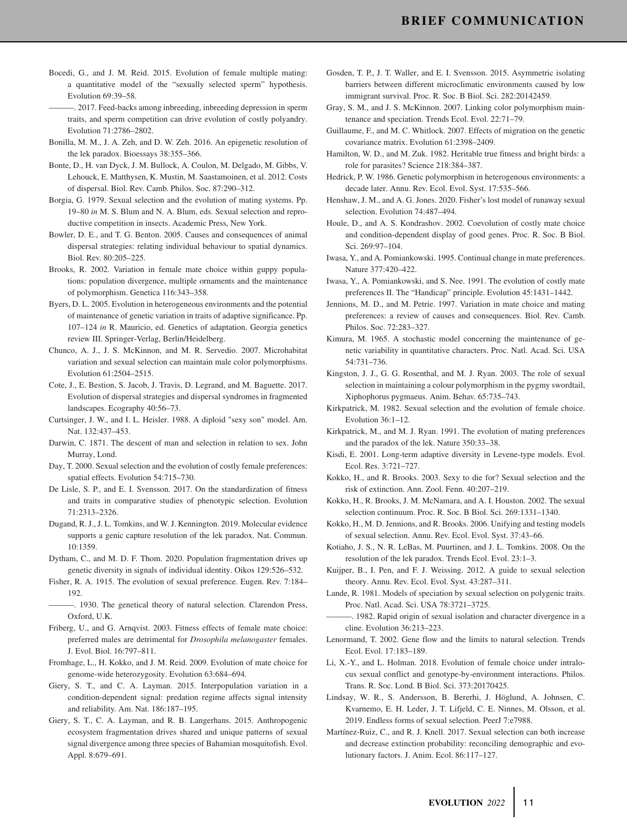- Bocedi, G., and J. M. Reid. 2015. Evolution of female multiple mating: a quantitative model of the "sexually selected sperm" hypothesis. Evolution 69:39–58.
- ———. 2017. Feed-backs among inbreeding, inbreeding depression in sperm traits, and sperm competition can drive evolution of costly polyandry. Evolution 71:2786–2802.
- Bonilla, M. M., J. A. Zeh, and D. W. Zeh. 2016. An epigenetic resolution of the lek paradox. Bioessays 38:355–366.
- Bonte, D., H. van Dyck, J. M. Bullock, A. Coulon, M. Delgado, M. Gibbs, V. Lehouck, E. Matthysen, K. Mustin, M. Saastamoinen, et al. 2012. Costs of dispersal. Biol. Rev. Camb. Philos. Soc. 87:290–312.
- Borgia, G. 1979. Sexual selection and the evolution of mating systems. Pp. 19–80 *in* M. S. Blum and N. A. Blum, eds. Sexual selection and reproductive competition in insects. Academic Press, New York.
- Bowler, D. E., and T. G. Benton. 2005. Causes and consequences of animal dispersal strategies: relating individual behaviour to spatial dynamics. Biol. Rev. 80:205–225.
- Brooks, R. 2002. Variation in female mate choice within guppy populations: population divergence, multiple ornaments and the maintenance of polymorphism. Genetica 116:343–358.
- Byers, D. L. 2005. Evolution in heterogeneous environments and the potential of maintenance of genetic variation in traits of adaptive significance. Pp. 107–124 *in* R. Mauricio, ed. Genetics of adaptation. Georgia genetics review III. Springer-Verlag, Berlin/Heidelberg.
- Chunco, A. J., J. S. McKinnon, and M. R. Servedio. 2007. Microhabitat variation and sexual selection can maintain male color polymorphisms. Evolution 61:2504–2515.
- Cote, J., E. Bestion, S. Jacob, J. Travis, D. Legrand, and M. Baguette. 2017. Evolution of dispersal strategies and dispersal syndromes in fragmented landscapes. Ecography 40:56–73.
- Curtsinger, J. W., and I. L. Heisler. 1988. A diploid "sexy son" model. Am. Nat. 132:437–453.
- Darwin, C. 1871. The descent of man and selection in relation to sex. John Murray, Lond.
- Day, T. 2000. Sexual selection and the evolution of costly female preferences: spatial effects. Evolution 54:715–730.
- De Lisle, S. P., and E. I. Svensson. 2017. On the standardization of fitness and traits in comparative studies of phenotypic selection. Evolution 71:2313–2326.
- Dugand, R. J., J. L. Tomkins, and W. J. Kennington. 2019. Molecular evidence supports a genic capture resolution of the lek paradox. Nat. Commun. 10:1359.
- Dytham, C., and M. D. F. Thom. 2020. Population fragmentation drives up genetic diversity in signals of individual identity. Oikos 129:526–532.
- Fisher, R. A. 1915. The evolution of sexual preference. Eugen. Rev. 7:184– 192.
- -. 1930. The genetical theory of natural selection. Clarendon Press, Oxford, U.K.
- Friberg, U., and G. Arnqvist. 2003. Fitness effects of female mate choice: preferred males are detrimental for *Drosophila melanogaster* females. J. Evol. Biol. 16:797–811.
- Fromhage, L., H. Kokko, and J. M. Reid. 2009. Evolution of mate choice for genome-wide heterozygosity. Evolution 63:684–694.
- Giery, S. T., and C. A. Layman. 2015. Interpopulation variation in a condition-dependent signal: predation regime affects signal intensity and reliability. Am. Nat. 186:187–195.
- Giery, S. T., C. A. Layman, and R. B. Langerhans. 2015. Anthropogenic ecosystem fragmentation drives shared and unique patterns of sexual signal divergence among three species of Bahamian mosquitofish. Evol. Appl. 8:679–691.
- Gosden, T. P., J. T. Waller, and E. I. Svensson. 2015. Asymmetric isolating barriers between different microclimatic environments caused by low immigrant survival. Proc. R. Soc. B Biol. Sci. 282:20142459.
- Gray, S. M., and J. S. McKinnon. 2007. Linking color polymorphism maintenance and speciation. Trends Ecol. Evol. 22:71–79.
- Guillaume, F., and M. C. Whitlock. 2007. Effects of migration on the genetic covariance matrix. Evolution 61:2398–2409.
- Hamilton, W. D., and M. Zuk. 1982. Heritable true fitness and bright birds: a role for parasites? Science 218:384–387.
- Hedrick, P. W. 1986. Genetic polymorphism in heterogenous environments: a decade later. Annu. Rev. Ecol. Evol. Syst. 17:535–566.
- Henshaw, J. M., and A. G. Jones. 2020. Fisher's lost model of runaway sexual selection. Evolution 74:487–494.
- Houle, D., and A. S. Kondrashov. 2002. Coevolution of costly mate choice and condition-dependent display of good genes. Proc. R. Soc. B Biol. Sci. 269:97–104.
- Iwasa, Y., and A. Pomiankowski. 1995. Continual change in mate preferences. Nature 377:420–422.
- Iwasa, Y., A. Pomiankowski, and S. Nee. 1991. The evolution of costly mate preferences II. The "Handicap" principle. Evolution 45:1431–1442.
- Jennions, M. D., and M. Petrie. 1997. Variation in mate choice and mating preferences: a review of causes and consequences. Biol. Rev. Camb. Philos. Soc. 72:283–327.
- Kimura, M. 1965. A stochastic model concerning the maintenance of genetic variability in quantitative characters. Proc. Natl. Acad. Sci. USA 54:731–736.
- Kingston, J. J., G. G. Rosenthal, and M. J. Ryan. 2003. The role of sexual selection in maintaining a colour polymorphism in the pygmy swordtail, Xiphophorus pygmaeus. Anim. Behav. 65:735–743.
- Kirkpatrick, M. 1982. Sexual selection and the evolution of female choice. Evolution 36:1–12.
- Kirkpatrick, M., and M. J. Ryan. 1991. The evolution of mating preferences and the paradox of the lek. Nature 350:33–38.
- Kisdi, E. 2001. Long-term adaptive diversity in Levene-type models. Evol. Ecol. Res. 3:721–727.
- Kokko, H., and R. Brooks. 2003. Sexy to die for? Sexual selection and the risk of extinction. Ann. Zool. Fenn. 40:207–219.
- Kokko, H., R. Brooks, J. M. McNamara, and A. I. Houston. 2002. The sexual selection continuum. Proc. R. Soc. B Biol. Sci. 269:1331–1340.
- Kokko, H., M. D. Jennions, and R. Brooks. 2006. Unifying and testing models of sexual selection. Annu. Rev. Ecol. Evol. Syst. 37:43–66.
- Kotiaho, J. S., N. R. LeBas, M. Puurtinen, and J. L. Tomkins. 2008. On the resolution of the lek paradox. Trends Ecol. Evol. 23:1–3.
- Kuijper, B., I. Pen, and F. J. Weissing. 2012. A guide to sexual selection theory. Annu. Rev. Ecol. Evol. Syst. 43:287–311.
- Lande, R. 1981. Models of speciation by sexual selection on polygenic traits. Proc. Natl. Acad. Sci. USA 78:3721–3725.
- -. 1982. Rapid origin of sexual isolation and character divergence in a cline. Evolution 36:213–223.
- Lenormand, T. 2002. Gene flow and the limits to natural selection. Trends Ecol. Evol. 17:183–189.
- Li, X.-Y., and L. Holman. 2018. Evolution of female choice under intralocus sexual conflict and genotype-by-environment interactions. Philos. Trans. R. Soc. Lond. B Biol. Sci. 373:20170425.
- Lindsay, W. R., S. Andersson, B. Bererhi, J. Höglund, A. Johnsen, C. Kvarnemo, E. H. Leder, J. T. Lifjeld, C. E. Ninnes, M. Olsson, et al. 2019. Endless forms of sexual selection. PeerJ 7:e7988.
- Martínez-Ruiz, C., and R. J. Knell. 2017. Sexual selection can both increase and decrease extinction probability: reconciling demographic and evolutionary factors. J. Anim. Ecol. 86:117–127.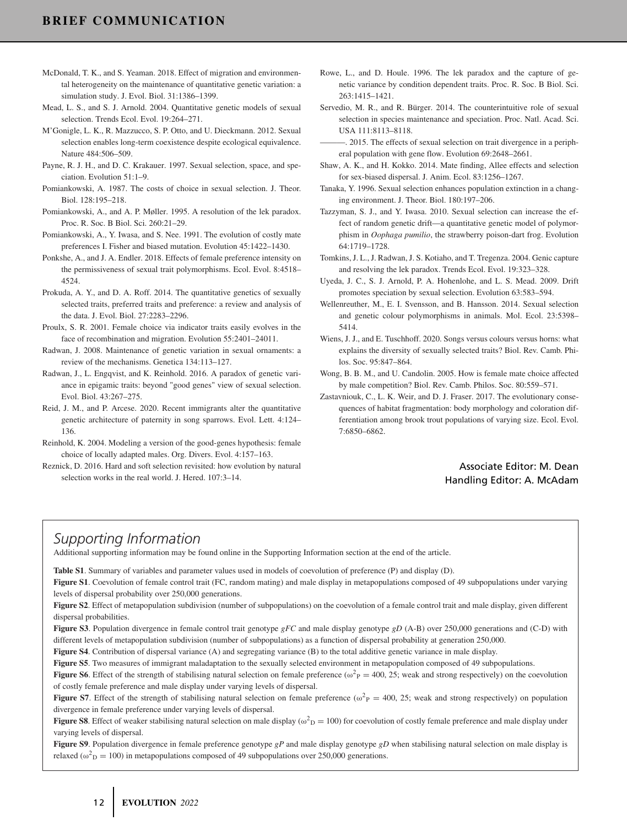- McDonald, T. K., and S. Yeaman. 2018. Effect of migration and environmental heterogeneity on the maintenance of quantitative genetic variation: a simulation study. J. Evol. Biol. 31:1386–1399.
- Mead, L. S., and S. J. Arnold. 2004. Quantitative genetic models of sexual selection. Trends Ecol. Evol. 19:264–271.
- M'Gonigle, L. K., R. Mazzucco, S. P. Otto, and U. Dieckmann. 2012. Sexual selection enables long-term coexistence despite ecological equivalence. Nature 484:506–509.
- Payne, R. J. H., and D. C. Krakauer. 1997. Sexual selection, space, and speciation. Evolution 51:1–9.
- Pomiankowski, A. 1987. The costs of choice in sexual selection. J. Theor. Biol. 128:195–218.
- Pomiankowski, A., and A. P. Møller. 1995. A resolution of the lek paradox. Proc. R. Soc. B Biol. Sci. 260:21–29.
- Pomiankowski, A., Y. Iwasa, and S. Nee. 1991. The evolution of costly mate preferences I. Fisher and biased mutation. Evolution 45:1422–1430.
- Ponkshe, A., and J. A. Endler. 2018. Effects of female preference intensity on the permissiveness of sexual trait polymorphisms. Ecol. Evol. 8:4518– 4524.
- Prokuda, A. Y., and D. A. Roff. 2014. The quantitative genetics of sexually selected traits, preferred traits and preference: a review and analysis of the data. J. Evol. Biol. 27:2283–2296.
- Proulx, S. R. 2001. Female choice via indicator traits easily evolves in the face of recombination and migration. Evolution 55:2401–24011.
- Radwan, J. 2008. Maintenance of genetic variation in sexual ornaments: a review of the mechanisms. Genetica 134:113–127.
- Radwan, J., L. Engqvist, and K. Reinhold. 2016. A paradox of genetic variance in epigamic traits: beyond "good genes" view of sexual selection. Evol. Biol. 43:267–275.
- Reid, J. M., and P. Arcese. 2020. Recent immigrants alter the quantitative genetic architecture of paternity in song sparrows. Evol. Lett. 4:124– 136.
- Reinhold, K. 2004. Modeling a version of the good-genes hypothesis: female choice of locally adapted males. Org. Divers. Evol. 4:157–163.
- Reznick, D. 2016. Hard and soft selection revisited: how evolution by natural selection works in the real world. J. Hered. 107:3–14.
- Rowe, L., and D. Houle. 1996. The lek paradox and the capture of genetic variance by condition dependent traits. Proc. R. Soc. B Biol. Sci. 263:1415–1421.
- Servedio, M. R., and R. Bürger. 2014. The counterintuitive role of sexual selection in species maintenance and speciation. Proc. Natl. Acad. Sci. USA 111:8113–8118.
- -. 2015. The effects of sexual selection on trait divergence in a peripheral population with gene flow. Evolution 69:2648–2661.
- Shaw, A. K., and H. Kokko. 2014. Mate finding, Allee effects and selection for sex-biased dispersal. J. Anim. Ecol. 83:1256–1267.
- Tanaka, Y. 1996. Sexual selection enhances population extinction in a changing environment. J. Theor. Biol. 180:197–206.
- Tazzyman, S. J., and Y. Iwasa. 2010. Sexual selection can increase the effect of random genetic drift—a quantitative genetic model of polymorphism in *Oophaga pumilio*, the strawberry poison-dart frog. Evolution 64:1719–1728.
- Tomkins, J. L., J. Radwan, J. S. Kotiaho, and T. Tregenza. 2004. Genic capture and resolving the lek paradox. Trends Ecol. Evol. 19:323–328.
- Uyeda, J. C., S. J. Arnold, P. A. Hohenlohe, and L. S. Mead. 2009. Drift promotes speciation by sexual selection. Evolution 63:583–594.
- Wellenreuther, M., E. I. Svensson, and B. Hansson. 2014. Sexual selection and genetic colour polymorphisms in animals. Mol. Ecol. 23:5398– 5414.
- Wiens, J. J., and E. Tuschhoff. 2020. Songs versus colours versus horns: what explains the diversity of sexually selected traits? Biol. Rev. Camb. Philos. Soc. 95:847–864.
- Wong, B. B. M., and U. Candolin. 2005. How is female mate choice affected by male competition? Biol. Rev. Camb. Philos. Soc. 80:559–571.
- Zastavniouk, C., L. K. Weir, and D. J. Fraser. 2017. The evolutionary consequences of habitat fragmentation: body morphology and coloration differentiation among brook trout populations of varying size. Ecol. Evol. 7:6850–6862.

## Associate Editor: M. Dean Handling Editor: A. McAdam

# *Supporting Information*

Additional supporting information may be found online in the Supporting Information section at the end of the article.

**Table S1**. Summary of variables and parameter values used in models of coevolution of preference (P) and display (D).

**Figure S1**. Coevolution of female control trait (FC, random mating) and male display in metapopulations composed of 49 subpopulations under varying levels of dispersal probability over 250,000 generations.

**Figure S2**. Effect of metapopulation subdivision (number of subpopulations) on the coevolution of a female control trait and male display, given different dispersal probabilities.

**Figure S3**. Population divergence in female control trait genotype *gFC* and male display genotype *gD* (A-B) over 250,000 generations and (C-D) with different levels of metapopulation subdivision (number of subpopulations) as a function of dispersal probability at generation 250,000.

**Figure S4**. Contribution of dispersal variance (A) and segregating variance (B) to the total additive genetic variance in male display.

**Figure S5**. Two measures of immigrant maladaptation to the sexually selected environment in metapopulation composed of 49 subpopulations.

**Figure S6**. Effect of the strength of stabilising natural selection on female preference ( $\omega_P^2 = 400$ , 25; weak and strong respectively) on the coevolution of costly female preference and male display under varying levels of dispersal.

**Figure S7**. Effect of the strength of stabilising natural selection on female preference ( $\omega^2$ <sub>P</sub> = 400, 25; weak and strong respectively) on population divergence in female preference under varying levels of dispersal.

**Figure S8**. Effect of weaker stabilising natural selection on male display ( $\omega^2$ <sub>D</sub> = 100) for coevolution of costly female preference and male display under varying levels of dispersal.

**Figure S9**. Population divergence in female preference genotype *gP* and male display genotype *gD* when stabilising natural selection on male display is relaxed ( $\omega_{\text{D}}^2 = 100$ ) in metapopulations composed of 49 subpopulations over 250,000 generations.